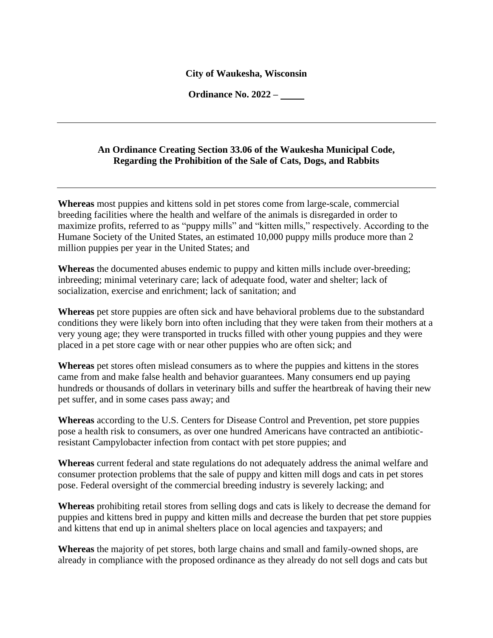## **City of Waukesha, Wisconsin**

**Ordinance No. 2022 –**

## **An Ordinance Creating Section 33.06 of the Waukesha Municipal Code, Regarding the Prohibition of the Sale of Cats, Dogs, and Rabbits**

**Whereas** most puppies and kittens sold in pet stores come from large-scale, commercial breeding facilities where the health and welfare of the animals is disregarded in order to maximize profits, referred to as "puppy mills" and "kitten mills," respectively. According to the Humane Society of the United States, an estimated 10,000 puppy mills produce more than 2 million puppies per year in the United States; and

**Whereas** the documented abuses endemic to puppy and kitten mills include over-breeding; inbreeding; minimal veterinary care; lack of adequate food, water and shelter; lack of socialization, exercise and enrichment; lack of sanitation; and

**Whereas** pet store puppies are often sick and have behavioral problems due to the substandard conditions they were likely born into often including that they were taken from their mothers at a very young age; they were transported in trucks filled with other young puppies and they were placed in a pet store cage with or near other puppies who are often sick; and

**Whereas** pet stores often mislead consumers as to where the puppies and kittens in the stores came from and make false health and behavior guarantees. Many consumers end up paying hundreds or thousands of dollars in veterinary bills and suffer the heartbreak of having their new pet suffer, and in some cases pass away; and

**Whereas** according to the U.S. Centers for Disease Control and Prevention, pet store puppies pose a health risk to consumers, as over one hundred Americans have contracted an antibioticresistant Campylobacter infection from contact with pet store puppies; and

**Whereas** current federal and state regulations do not adequately address the animal welfare and consumer protection problems that the sale of puppy and kitten mill dogs and cats in pet stores pose. Federal oversight of the commercial breeding industry is severely lacking; and

**Whereas** prohibiting retail stores from selling dogs and cats is likely to decrease the demand for puppies and kittens bred in puppy and kitten mills and decrease the burden that pet store puppies and kittens that end up in animal shelters place on local agencies and taxpayers; and

**Whereas** the majority of pet stores, both large chains and small and family-owned shops, are already in compliance with the proposed ordinance as they already do not sell dogs and cats but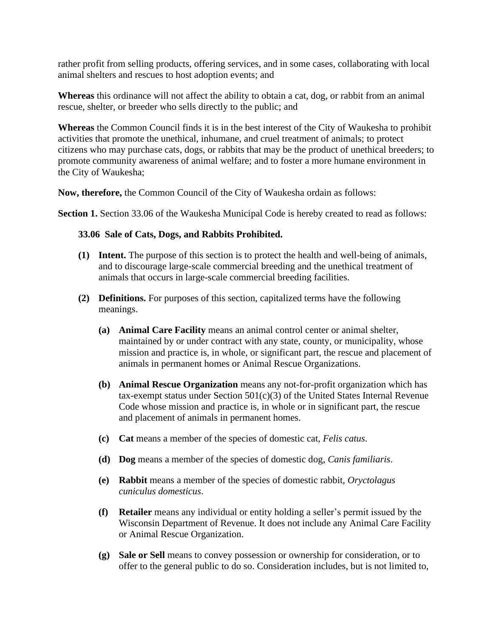rather profit from selling products, offering services, and in some cases, collaborating with local animal shelters and rescues to host adoption events; and

**Whereas** this ordinance will not affect the ability to obtain a cat, dog, or rabbit from an animal rescue, shelter, or breeder who sells directly to the public; and

**Whereas** the Common Council finds it is in the best interest of the City of Waukesha to prohibit activities that promote the unethical, inhumane, and cruel treatment of animals; to protect citizens who may purchase cats, dogs, or rabbits that may be the product of unethical breeders; to promote community awareness of animal welfare; and to foster a more humane environment in the City of Waukesha;

**Now, therefore,** the Common Council of the City of Waukesha ordain as follows:

**Section 1.** Section 33.06 of the Waukesha Municipal Code is hereby created to read as follows:

## **33.06 Sale of Cats, Dogs, and Rabbits Prohibited.**

- **(1) Intent.** The purpose of this section is to protect the health and well-being of animals, and to discourage large-scale commercial breeding and the unethical treatment of animals that occurs in large-scale commercial breeding facilities.
- **(2) Definitions.** For purposes of this section, capitalized terms have the following meanings.
	- **(a) Animal Care Facility** means an animal control center or animal shelter, maintained by or under contract with any state, county, or municipality, whose mission and practice is, in whole, or significant part, the rescue and placement of animals in permanent homes or Animal Rescue Organizations.
	- **(b) Animal Rescue Organization** means any not-for-profit organization which has tax-exempt status under Section  $501(c)(3)$  of the United States Internal Revenue Code whose mission and practice is, in whole or in significant part, the rescue and placement of animals in permanent homes.
	- **(c) Cat** means a member of the species of domestic cat, *Felis catus*.
	- **(d) Dog** means a member of the species of domestic dog, *Canis familiaris*.
	- **(e) Rabbit** means a member of the species of domestic rabbit, *Oryctolagus cuniculus domesticus*.
	- **(f) Retailer** means any individual or entity holding a seller's permit issued by the Wisconsin Department of Revenue. It does not include any Animal Care Facility or Animal Rescue Organization.
	- **(g) Sale or Sell** means to convey possession or ownership for consideration, or to offer to the general public to do so. Consideration includes, but is not limited to,